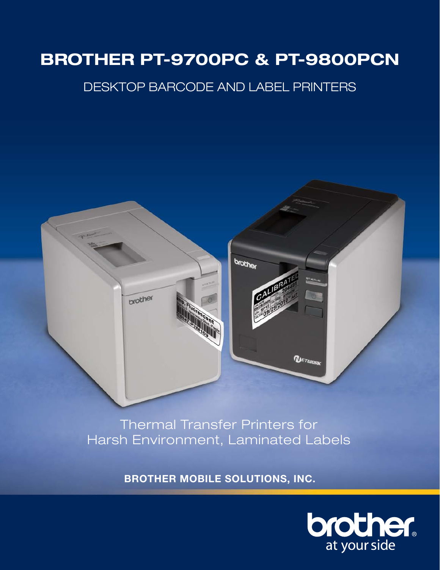# **BROTHER PT-9700PC & PT-9800PCN**

# Desktop Barcode and LABEL Printers



Giving your clients the best customer experience is one is one is one is one is one is one is one is one is one is one is one is one is one is one is one is one is one is one is one is one is one is one is one is one is on **Example 19 Harsh Environment, Laminated Labels** Thermal Transfer Printers for

**BROTHER MOBILE SOLUTIONS, INC.** 

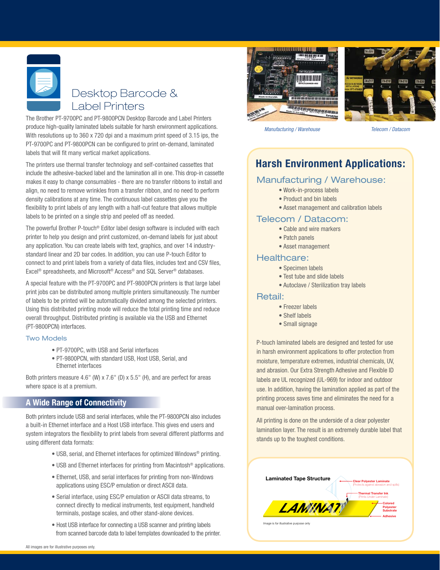# Desktop Barcode & Label Printers

The Brother PT-9700PC and PT-9800PCN Desktop Barcode and Label Printers produce high-quality laminated labels suitable for harsh environment applications. With resolutions up to 360 x 720 dpi and a maximum print speed of 3.15 ips, the PT-9700PC and PT-9800PCN can be configured to print on-demand, laminated labels that will fit many vertical market applications.

The printers use thermal transfer technology and self-contained cassettes that include the adhesive-backed label and the lamination all in one. This drop-in cassette makes it easy to change consumables - there are no transfer ribbons to install and align, no need to remove wrinkles from a transfer ribbon, and no need to perform density calibrations at any time. The continuous label cassettes give you the flexibility to print labels of any length with a half-cut feature that allows multiple labels to be printed on a single strip and peeled off as needed.

The powerful Brother P-touch® Editor label design software is included with each printer to help you design and print customized, on-demand labels for just about any application. You can create labels with text, graphics, and over 14 industrystandard linear and 2D bar codes. In addition, you can use P-touch Editor to connect to and print labels from a variety of data files, includes text and CSV files, Excel® spreadsheets, and Microsoft® Access® and SQL Server® databases.

A special feature with the PT-9700PC and PT-9800PCN printers is that large label print jobs can be distributed among multiple printers simultaneously. The number of labels to be printed will be automatically divided among the selected printers. Using this distributed printing mode will reduce the total printing time and reduce overall throughput. Distributed printing is available via the USB and Ethernet (PT-9800PCN) interfaces.

#### Two Models

- PT-9700PC, with USB and Serial interfaces
- PT-9800PCN, with standard USB, Host USB, Serial, and Ethernet interfaces

Both printers measure 4.6" (W) x 7.6" (D) x 5.5" (H), and are perfect for areas where space is at a premium.

### **A Wide Range of Connectivity**

Both printers include USB and serial interfaces, while the PT-9800PCN also includes a built-in Ethernet interface and a Host USB interface. This gives end users and system integrators the flexibility to print labels from several different platforms and using different data formats:

- USB, serial, and Ethernet interfaces for optimized Windows® printing.
- USB and Ethernet interfaces for printing from Macintosh® applications.
- Ethernet, USB, and serial interfaces for printing from non-Windows applications using ESC/P emulation or direct ASCII data.
- Serial interface, using ESC/P emulation or ASCII data streams, to connect directly to medical instruments, test equipment, handheld terminals, postage scales, and other stand-alone devices.
- Host USB interface for connecting a USB scanner and printing labels from scanned barcode data to label templates downloaded to the printer.





*Manufacturing / Warehouse Telecom / Datacom*

# **Harsh Environment Applications:**

### Manufacturing / Warehouse:

- Work-in-process labels
- Product and bin labels
- Asset management and calibration labels

#### Telecom / Datacom:

- Cable and wire markers
- Patch panels
- Asset management

#### Healthcare:

- Specimen labels
- Test tube and slide labels
- Autoclave / Sterilization tray labels

#### Retail:

- Freezer labels
- Shelf labels
- Small signage

P-touch laminated labels are designed and tested for use in harsh environment applications to offer protection from moisture, temperature extremes, industrial chemicals, UV, and abrasion. Our Extra Strength Adhesive and Flexible ID labels are UL recognized (UL-969) for indoor and outdoor use. In addition, having the lamination applied as part of the printing process saves time and eliminates the need for a manual over-lamination process.

All printing is done on the underside of a clear polyester lamination layer. The result is an extremely durable label that stands up to the toughest conditions.

| <b>Laminated Tape Structure</b> | <b>Clear Polyester Laminate</b><br>(Protects against abrasion and spills) |
|---------------------------------|---------------------------------------------------------------------------|
|                                 | <b>Thermal Transfer Ink</b><br>(Prints Under Laminate)                    |
| LAMMAAT                         | Colored<br><b>Polyester</b><br><b>Substrate</b>                           |
|                                 | <b>Adhesive</b>                                                           |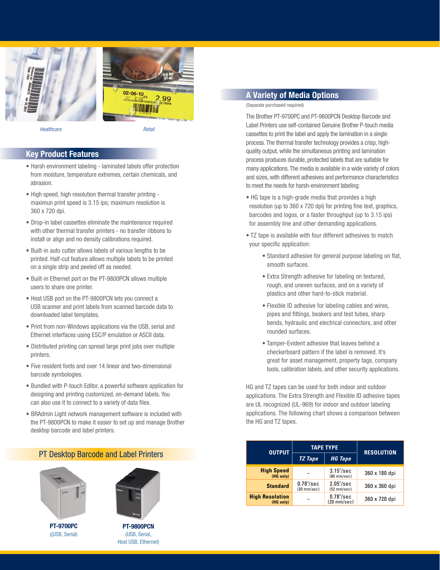



*Healthcare Retail*

#### **Key Product Features**

- Harsh environment labeling laminated labels offer protection from moisture, temperature extremes, certain chemicals, and abrasion.
- High speed, high resolution thermal transfer printing maximun print speed is 3.15 ips; maximum resolution is 360 x 720 dpi.
- Drop-in label cassettes eliminate the maintenance required with other thermal transfer printers - no transfer ribbons to install or align and no density calibrations required.
- Built-in auto cutter allows labels of various lengths to be printed. Half-cut feature allows multiple labels to be printed on a single strip and peeled off as needed.
- Built-in Ethernet port on the PT-9800PCN allows multiple users to share one printer.
- Host USB port on the PT-9800PCN lets you connect a USB scanner and print labels from scanned barcode data to downloaded label templates.
- Print from non-Windows applications via the USB, serial and Ethernet interfaces using ESC/P emulation or ASCII data.
- Distributed printing can spread large print jobs over multiple printers.
- Five resident fonts and over 14 linear and two-dimensional barcode symbologies.
- Bundled with P-touch Editor, a powerful software application for designing and printing customized, on-demand labels. You can also use it to connect to a variety of data files.
- BRAdmin Light network management software is included with the PT-9800PCN to make it easier to set up and manage Brother desktop barcode and label printers.

#### PT Desktop Barcode and Label Printers



**PT-9700PC** ((USB, Serial)



**PT-9800PCN** (USB, Serial, Host USB, Ethernet)

#### **A Variety of Media Options**

#### (Separate purchased required)

The Brother PT-9700PC and PT-9800PCN Desktop Barcode and Label Printers use self-contained Genuine Brother P-touch media cassettes to print the label and apply the lamination in a single process. The thermal transfer technology provides a crisp, highquality output, while the simultaneous printing and lamination process produces durable, protected labels that are suitable for many applications. The media is available in a wide variety of colors and sizes, with different adhesives and performance characteristics to meet the needs for harsh-environment labeling:

- HG tape is a high-grade media that provides a high resolution (up to 360 x 720 dpi) for printing fine text, graphics, barcodes and logos, or a faster throughput (up to 3.15 ips) for assembly line and other demanding applications.
- TZ tape is available with four different adhesives to match your specific application:
	- Standard adhesive for general purpose labeling on flat, smooth surfaces.
	- Extra Strength adhesive for labeling on textured, rough, and uneven surfaces, and on a variety of plastics and other hard-to-stick material.
	- Flexible ID adhesive for labeling cables and wires, pipes and fittings, beakers and test tubes, sharp bends, hydraulic and electrical connectors, and other rounded surfaces.
	- Tamper-Evident adhesive that leaves behind a checkerboard pattern if the label is removed. It's great for asset management, property tags, company tools, calibration labels, and other security applications.

HG and TZ tapes can be used for both indoor and outdoor applications. The Extra Strength and Flexible ID adhesive tapes are UL recognized (UL-969) for indoor and outdoor labeling applications. The following chart shows a comparison between the HG and TZ tapes.

| <b>OUTPUT</b>                       | <b>TAPE TYPE</b>                      |                                       | <b>RESOLUTION</b> |
|-------------------------------------|---------------------------------------|---------------------------------------|-------------------|
|                                     | <b>TZ</b> Tape                        | <b>HG Tape</b>                        |                   |
| <b>High Speed</b><br>(HG only)      |                                       | $3.15$ "/sec<br>$(80 \text{ mm/sec})$ | 360 x 180 dpi     |
| <b>Standard</b>                     | $0.78$ "/sec<br>$(20 \text{ mm/sec})$ | $2.05$ "/sec<br>$(52 \text{ mm/sec})$ | 360 x 360 dpi     |
| <b>High Resolution</b><br>(HG only) |                                       | $0.78$ "/sec<br>$(20 \text{ mm/sec})$ | 360 x 720 dpi     |